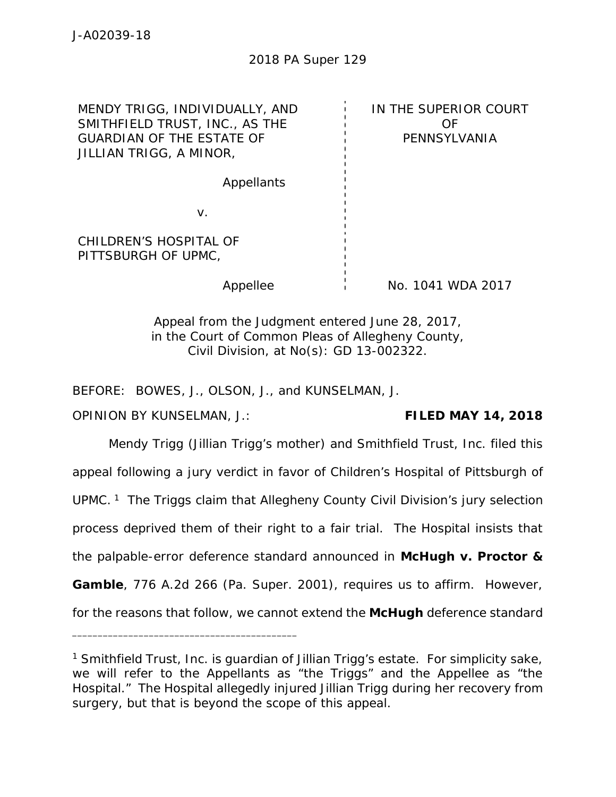## 2018 PA Super 129

MENDY TRIGG, INDIVIDUALLY, AND SMITHFIELD TRUST, INC., AS THE GUARDIAN OF THE ESTATE OF JILLIAN TRIGG, A MINOR,

IN THE SUPERIOR COURT OF PENNSYLVANIA

Appellants

v.

CHILDREN'S HOSPITAL OF PITTSBURGH OF UPMC,

Appellee No. 1041 WDA 2017

Appeal from the Judgment entered June 28, 2017, in the Court of Common Pleas of Allegheny County, Civil Division, at No(s): GD 13-002322.

BEFORE: BOWES, J., OLSON, J., and KUNSELMAN, J.

\_\_\_\_\_\_\_\_\_\_\_\_\_\_\_\_\_\_\_\_\_\_\_\_\_\_\_\_\_\_\_\_\_\_\_\_\_\_\_\_\_\_\_\_

OPINION BY KUNSELMAN, J.: **FILED MAY 14, 2018**

Mendy Trigg (Jillian Trigg's mother) and Smithfield Trust, Inc. filed this appeal following a jury verdict in favor of Children's Hospital of Pittsburgh of UPMC.<sup>1</sup> The Triggs claim that Allegheny County Civil Division's jury selection process deprived them of their right to a fair trial. The Hospital insists that the palpable-error deference standard announced in *McHugh v. Proctor & Gamble*, 776 A.2d 266 (Pa. Super. 2001), requires us to affirm. However, for the reasons that follow, we cannot extend the *McHugh* deference standard

<sup>&</sup>lt;sup>1</sup> Smithfield Trust, Inc. is guardian of Jillian Trigg's estate. For simplicity sake, we will refer to the Appellants as "the Triggs" and the Appellee as "the Hospital." The Hospital allegedly injured Jillian Trigg during her recovery from surgery, but that is beyond the scope of this appeal.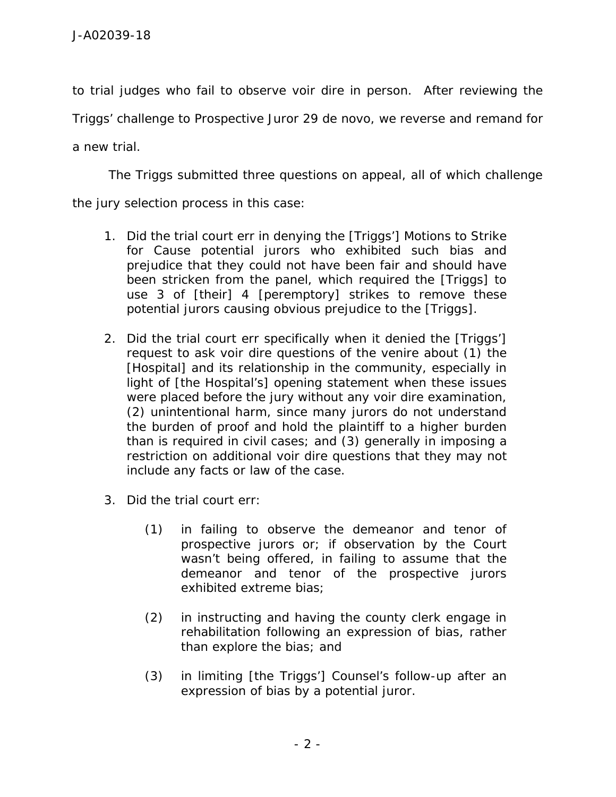to trial judges who fail to observe *voir dire* in person. After reviewing the

Triggs' challenge to Prospective Juror 29 *de novo*, we reverse and remand for

a new trial.

The Triggs submitted three questions on appeal, all of which challenge

the jury selection process in this case:

- 1. Did the trial court err in denying the [Triggs'] Motions to Strike for Cause potential jurors who exhibited such bias and prejudice that they could not have been fair and should have been stricken from the panel, which required the [Triggs] to use 3 of [their] 4 [peremptory] strikes to remove these potential jurors causing obvious prejudice to the [Triggs].
- 2. Did the trial court err specifically when it denied the [Triggs'] request to ask *voir dire* questions of the venire about (1) the [Hospital] and its relationship in the community, especially in light of [the Hospital's] opening statement when these issues were placed before the jury without any voir dire examination, (2) unintentional harm, since many jurors do not understand the burden of proof and hold the plaintiff to a higher burden than is required in civil cases; and (3) generally in imposing a restriction on additional *voir dire* questions that they may not include any facts or law of the case.
- 3. Did the trial court err:
	- (1) in failing to observe the demeanor and tenor of prospective jurors or; if observation by the Court wasn't being offered, in failing to assume that the demeanor and tenor of the prospective jurors exhibited extreme bias;
	- (2) in instructing and having the county clerk engage in rehabilitation following an expression of bias, rather than explore the bias; and
	- (3) in limiting [the Triggs'] Counsel's follow-up after an expression of bias by a potential juror.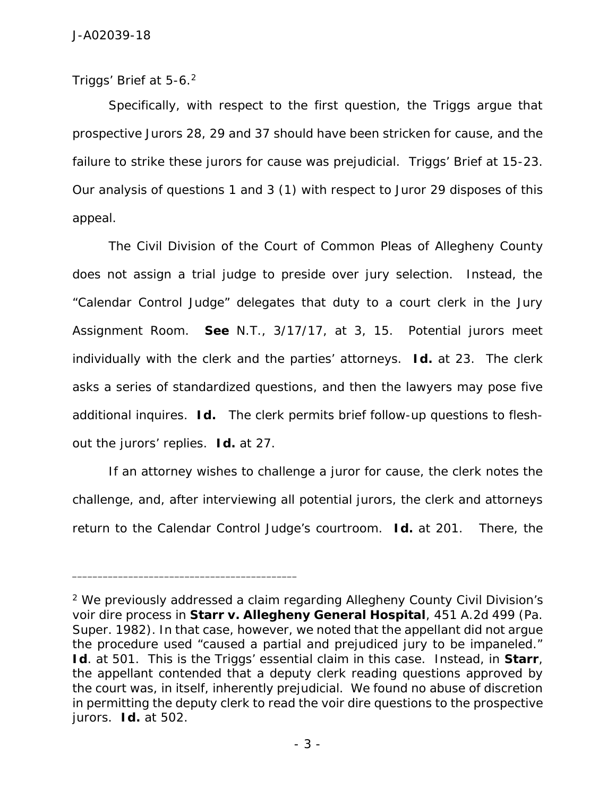Triggs' Brief at 5-6.<sup>2</sup>

Specifically, with respect to the first question, the Triggs argue that prospective Jurors 28, 29 and 37 should have been stricken for cause, and the failure to strike these jurors for cause was prejudicial. Triggs' Brief at 15-23. Our analysis of questions 1 and 3 (1) with respect to Juror 29 disposes of this appeal.

The Civil Division of the Court of Common Pleas of Allegheny County does not assign a trial judge to preside over jury selection. Instead, the "Calendar Control Judge" delegates that duty to a court clerk in the Jury Assignment Room. *See* N.T., 3/17/17, at 3, 15. Potential jurors meet individually with the clerk and the parties' attorneys. *Id.* at 23. The clerk asks a series of standardized questions, and then the lawyers may pose five additional inquires. *Id.* The clerk permits brief follow-up questions to flesh out the jurors' replies. *Id.* at 27.

If an attorney wishes to challenge a juror for cause, the clerk notes the challenge, and, after interviewing all potential jurors, the clerk and attorneys return to the Calendar Control Judge's courtroom. *Id.* at 201. There, the

<sup>2</sup> We previously addressed a claim regarding Allegheny County Civil Division's voir dire process in *Starr v. Allegheny General Hospital*, 451 A.2d 499 (Pa. Super. 1982). In that case, however, we noted that the appellant did not argue the procedure used "caused a partial and prejudiced jury to be impaneled." *Id*. at 501. This is the Triggs' essential claim in this case. Instead, in *Starr*, the appellant contended that a deputy clerk reading questions approved by the court was, in itself, inherently prejudicial. We found no abuse of discretion in permitting the deputy clerk to read the *voir dire* questions to the prospective jurors. *Id.* at 502.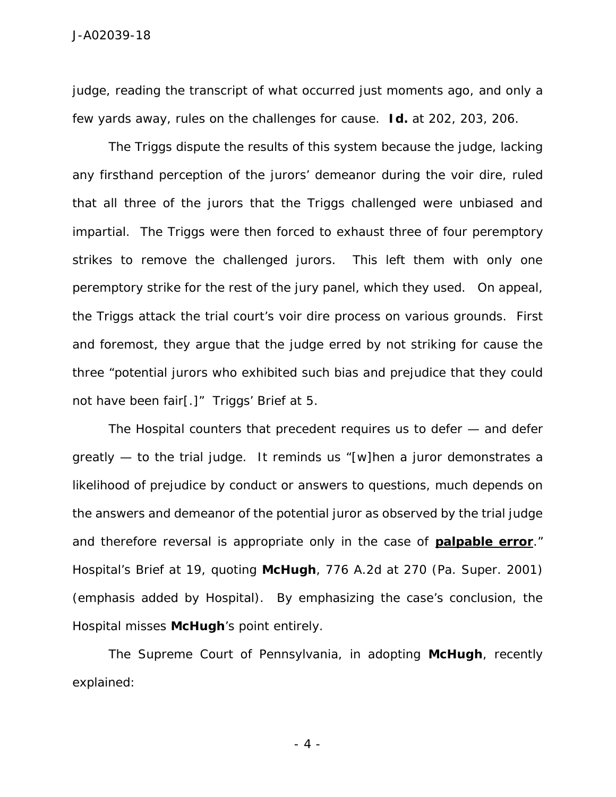judge, reading the transcript of what occurred just moments ago, and only a few yards away, rules on the challenges for cause. *Id.* at 202, 203, 206.

The Triggs dispute the results of this system because the judge, lacking any firsthand perception of the jurors' demeanor during the *voir dire*, ruled that all three of the jurors that the Triggs challenged were unbiased and impartial. The Triggs were then forced to exhaust three of four peremptory strikes to remove the challenged jurors. This left them with only one peremptory strike for the rest of the jury panel, which they used. On appeal, the Triggs attack the trial court's *voir dire* process on various grounds. First and foremost, they argue that the judge erred by not striking for cause the three "potential jurors who exhibited such bias and prejudice that they could not have been fair[.]" Triggs' Brief at 5.

The Hospital counters that precedent requires us to defer — and defer greatly — to the trial judge. It reminds us "[w]hen a juror demonstrates a likelihood of prejudice by conduct or answers to questions, much depends on the answers and demeanor of the potential juror as observed by the trial judge and therefore reversal is appropriate only in the case of **palpable error**." Hospital's Brief at 19, *quoting McHugh*, 776 A.2d at 270 (Pa. Super. 2001) (emphasis added by Hospital). By emphasizing the case's conclusion, the Hospital misses *McHugh*'s point entirely.

The Supreme Court of Pennsylvania, in adopting *McHugh*, recently explained:

- 4 -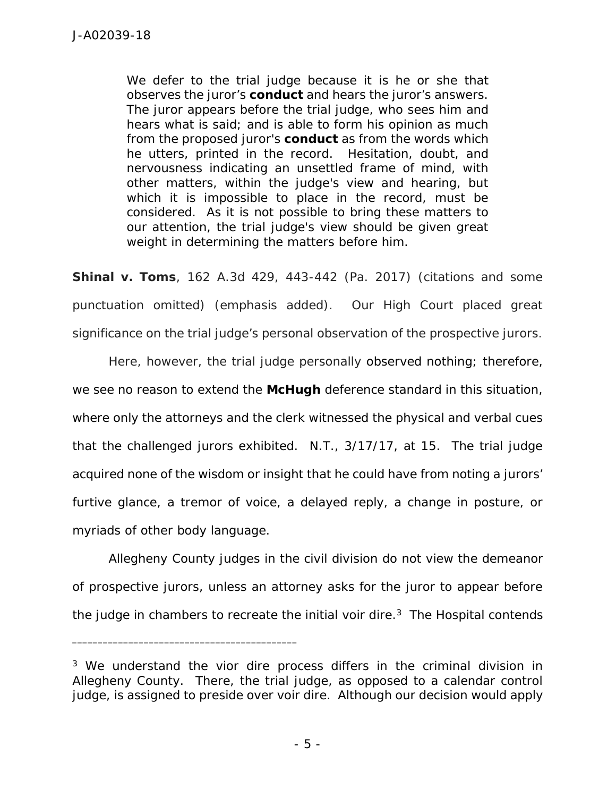We defer to the trial judge because it is he or she that observes the juror's *conduct* and hears the juror's answers. The juror appears before the trial judge, who sees him and hears what is said; and is able to form his opinion as much from the proposed juror's *conduct* as from the words which he utters, printed in the record. Hesitation, doubt, and nervousness indicating an unsettled frame of mind, with other matters, within the judge's view and hearing, but which it is impossible to place in the record, must be considered. As it is not possible to bring these matters to our attention, the trial judge's view should be given great weight in determining the matters before him.

*Shinal v. Toms*, 162 A.3d 429, 443-442 (Pa. 2017) (citations and some punctuation omitted) (emphasis added). Our High Court placed great significance on the trial judge's personal observation of the prospective jurors.

Here, however, the trial judge personally observed nothing; therefore, we see no reason to extend the *McHugh* deference standard in this situation, where only the attorneys and the clerk witnessed the physical and verbal cues that the challenged jurors exhibited. N.T., 3/17/17, at 15. The trial judge acquired none of the wisdom or insight that he could have from noting a jurors' furtive glance, a tremor of voice, a delayed reply, a change in posture, or myriads of other body language.

Allegheny County judges in the civil division do not view the demeanor of prospective jurors, unless an attorney asks for the juror to appear before the judge in chambers to recreate the initial *voir dire*.<sup>3</sup> The Hospital contends

<sup>3</sup> We understand the *vior dire* process differs in the criminal division in Allegheny County. There, the trial judge, as opposed to a calendar control judge, is assigned to preside over *voir dire*. Although our decision would apply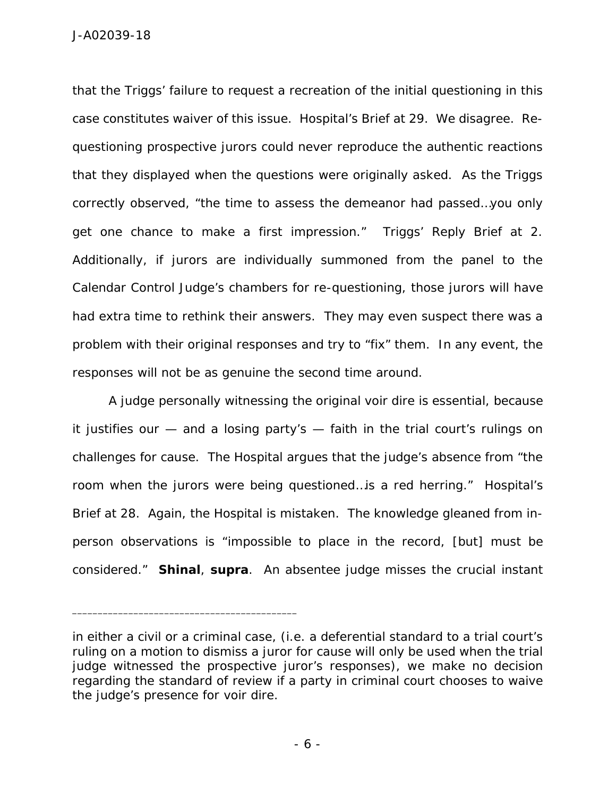that the Triggs' failure to request a recreation of the initial questioning in this case constitutes waiver of this issue. Hospital's Brief at 29. We disagree. Re questioning prospective jurors could never reproduce the authentic reactions that they displayed when the questions were originally asked. As the Triggs correctly observed, "the time to assess the demeanor had passed…you only get one chance to make a first impression." Triggs' Reply Brief at 2. Additionally, if jurors are individually summoned from the panel to the Calendar Control Judge's chambers for re-questioning, those jurors will have had extra time to rethink their answers. They may even suspect there was a problem with their original responses and try to "fix" them. In any event, the responses will not be as genuine the second time around.

A judge personally witnessing the original *voir dire* is essential, because it justifies our — and a losing party's — faith in the trial court's rulings on challenges for cause. The Hospital argues that the judge's absence from "the room when the jurors were being questioned…is a red herring." Hospital's Brief at 28. Again, the Hospital is mistaken. The knowledge gleaned from in person observations is "impossible to place in the record, [but] must be considered." *Shinal*, *supra*. An absentee judge misses the crucial instant

in either a civil or a criminal case, (i.e. a deferential standard to a trial court's ruling on a motion to dismiss a juror for cause will only be used when the trial judge witnessed the prospective juror's responses), we make no decision regarding the standard of review if a party in criminal court chooses to waive the judge's presence for *voir dire*.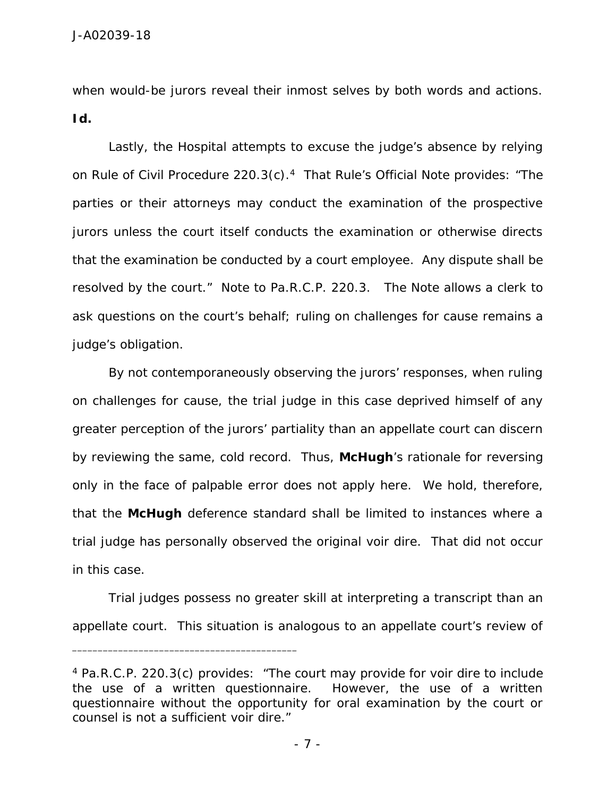when would-be jurors reveal their inmost selves by both words and actions. *Id.*

Lastly, the Hospital attempts to excuse the judge's absence by relying on Rule of Civil Procedure 220.3(c).<sup>4</sup> That Rule's Official Note provides: "The parties or their attorneys may conduct the examination of the prospective jurors unless the court itself conducts the examination or otherwise directs that the examination be conducted by a court employee. Any dispute shall be resolved by the court." Note to Pa.R.C.P. 220.3. The Note allows a clerk to ask questions on the court's behalf; ruling on challenges for cause remains a judge's obligation.

By not contemporaneously observing the jurors' responses, when ruling on challenges for cause, the trial judge in this case deprived himself of any greater perception of the jurors' partiality than an appellate court can discern by reviewing the same, cold record. Thus, *McHugh*'s rationale for reversing only in the face of palpable error does not apply here. We hold, therefore, that the *McHugh* deference standard shall be limited to instances where a trial judge has personally observed the original *voir dire*. That did not occur in this case.

Trial judges possess no greater skill at interpreting a transcript than an appellate court. This situation is analogous to an appellate court's review of

<sup>4</sup> Pa.R.C.P. 220.3(c) provides: "The court may provide for *voir dire* to include the use of a written questionnaire. However, the use of a written questionnaire without the opportunity for oral examination by the court or counsel is not a sufficient *voir dire*."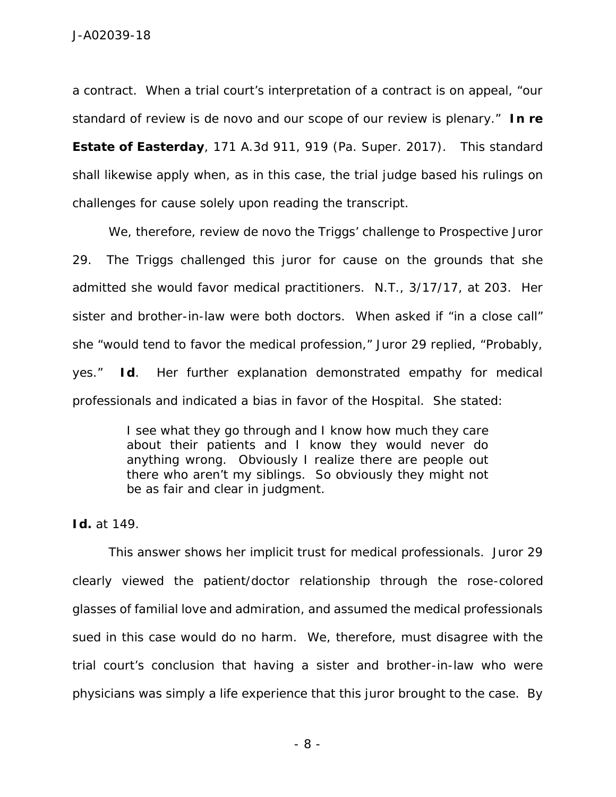a contract. When a trial court's interpretation of a contract is on appeal, "our standard of review is *de novo* and our scope of our review is plenary." *In re Estate of Easterday*, 171 A.3d 911, 919 (Pa. Super. 2017). This standard shall likewise apply when, as in this case, the trial judge based his rulings on challenges for cause solely upon reading the transcript.

We, therefore, review *de novo* the Triggs' challenge to Prospective Juror 29. The Triggs challenged this juror for cause on the grounds that she admitted she would favor medical practitioners. N.T., 3/17/17, at 203. Her sister and brother-in-law were both doctors. When asked if "in a close call" she "would tend to favor the medical profession," Juror 29 replied, "Probably, yes." *Id*. Her further explanation demonstrated empathy for medical professionals and indicated a bias in favor of the Hospital. She stated:

> I see what they go through and I know how much they care about their patients and I know they would never do anything wrong. Obviously I realize there are people out there who aren't my siblings. So obviously they might not be as fair and clear in judgment.

*Id.* at 149.

This answer shows her implicit trust for medical professionals. Juror 29 clearly viewed the patient/doctor relationship through the rose-colored glasses of familial love and admiration, and assumed the medical professionals sued in this case would do no harm. We, therefore, must disagree with the trial court's conclusion that having a sister and brother-in-law who were physicians was simply a life experience that this juror brought to the case. By

- 8 -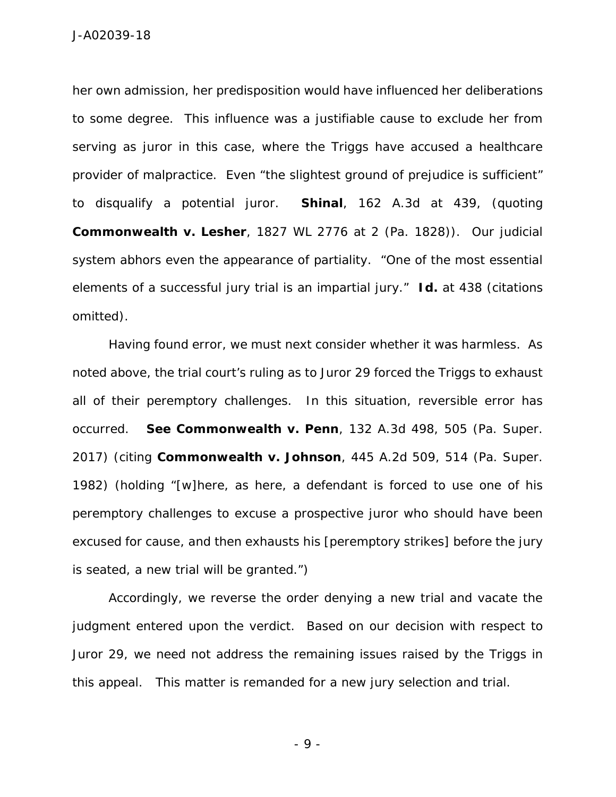J-A02039-18

her own admission, her predisposition would have influenced her deliberations to some degree. This influence was a justifiable cause to exclude her from serving as juror in this case, where the Triggs have accused a healthcare provider of malpractice. Even "the slightest ground of prejudice is sufficient" to disqualify a potential juror. *Shinal*, 162 A.3d at 439, (*quoting Commonwealth v. Lesher*, 1827 WL 2776 at 2 (Pa. 1828)). Our judicial system abhors even the appearance of partiality. "One of the most essential elements of a successful jury trial is an impartial jury." *Id.* at 438 (citations omitted).

Having found error, we must next consider whether it was harmless. As noted above, the trial court's ruling as to Juror 29 forced the Triggs to exhaust all of their peremptory challenges. In this situation, reversible error has occurred. *See Commonwealth v. Penn*, 132 A.3d 498, 505 (Pa. Super. 2017) (*citing Commonwealth v. Johnson*, 445 A.2d 509, 514 (Pa. Super. 1982) (holding "[w]here, as here, a defendant is forced to use one of his peremptory challenges to excuse a prospective juror who should have been excused for cause, and then exhausts his [peremptory strikes] before the jury is seated, a new trial will be granted.")

Accordingly, we reverse the order denying a new trial and vacate the judgment entered upon the verdict. Based on our decision with respect to Juror 29, we need not address the remaining issues raised by the Triggs in this appeal. This matter is remanded for a new jury selection and trial.

- 9 -